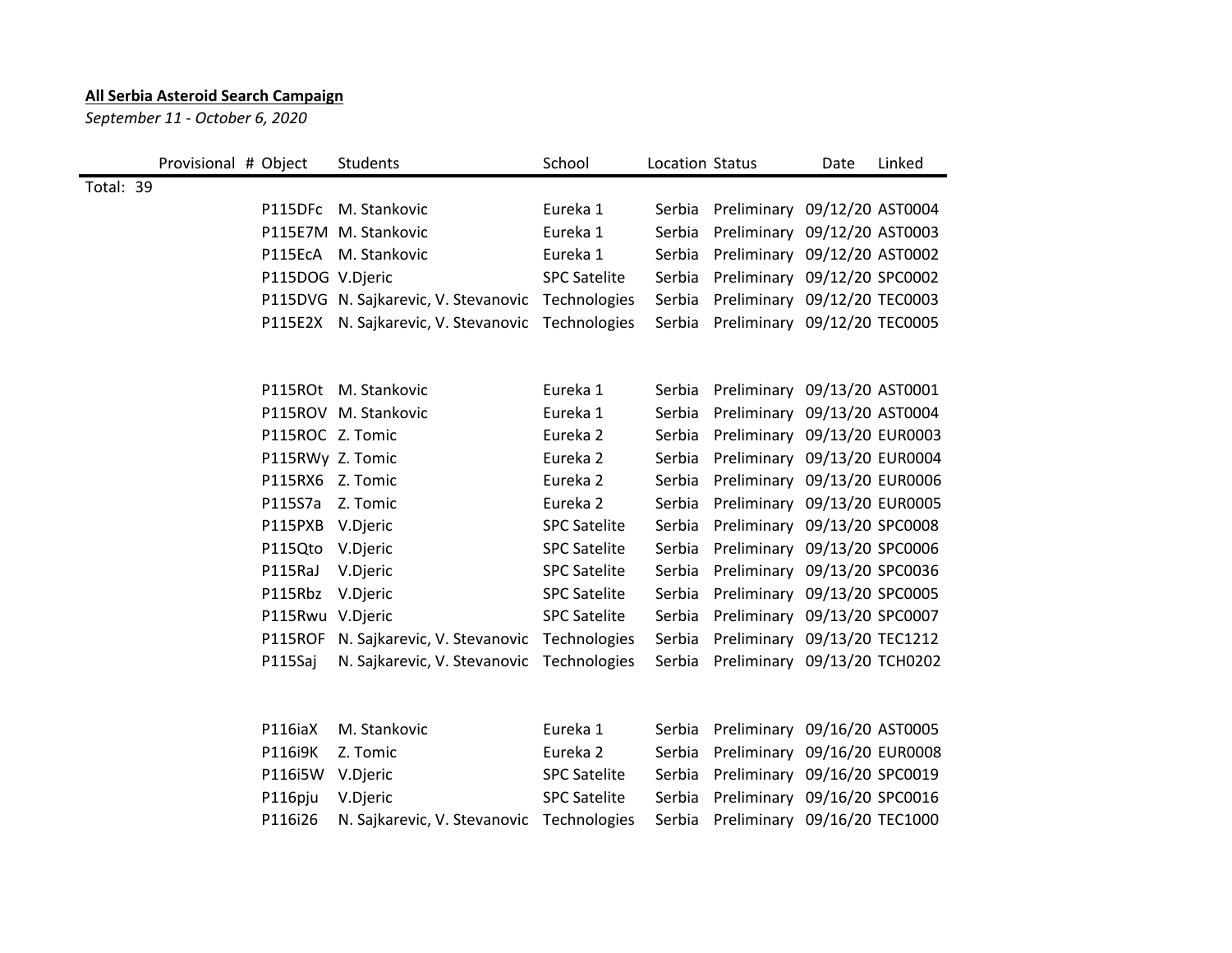## **All Serbia Asteroid Search Campaign**

*September 11 - October 6, 2020*

|           | Provisional # Object |                  | Students                                          | School              | Location Status |                              | Date | Linked |
|-----------|----------------------|------------------|---------------------------------------------------|---------------------|-----------------|------------------------------|------|--------|
| Total: 39 |                      |                  |                                                   |                     |                 |                              |      |        |
|           |                      |                  | P115DFc M. Stankovic                              | Eureka 1            | Serbia          | Preliminary 09/12/20 AST0004 |      |        |
|           |                      |                  | P115E7M M. Stankovic                              | Eureka 1            | Serbia          | Preliminary 09/12/20 AST0003 |      |        |
|           |                      |                  | P115EcA M. Stankovic                              | Eureka 1            | Serbia          | Preliminary 09/12/20 AST0002 |      |        |
|           |                      | P115DOG V.Djeric |                                                   | <b>SPC Satelite</b> | Serbia          | Preliminary 09/12/20 SPC0002 |      |        |
|           |                      |                  | P115DVG N. Sajkarevic, V. Stevanovic Technologies |                     | Serbia          | Preliminary 09/12/20 TEC0003 |      |        |
|           |                      |                  | P115E2X N. Sajkarevic, V. Stevanovic Technologies |                     | Serbia          | Preliminary 09/12/20 TEC0005 |      |        |
|           |                      |                  |                                                   |                     |                 |                              |      |        |
|           |                      |                  | P115ROt M. Stankovic                              | Eureka 1            | Serbia          | Preliminary 09/13/20 AST0001 |      |        |
|           |                      |                  | P115ROV M. Stankovic                              | Eureka 1            | Serbia          | Preliminary 09/13/20 AST0004 |      |        |
|           |                      | P115ROC Z. Tomic |                                                   | Eureka <sub>2</sub> | Serbia          | Preliminary 09/13/20 EUR0003 |      |        |
|           |                      | P115RWy Z. Tomic |                                                   | Eureka <sub>2</sub> | Serbia          | Preliminary 09/13/20 EUR0004 |      |        |
|           |                      | P115RX6 Z. Tomic |                                                   | Eureka <sub>2</sub> | Serbia          | Preliminary 09/13/20 EUR0006 |      |        |
|           |                      | P115S7a Z. Tomic |                                                   | Eureka <sub>2</sub> | Serbia          | Preliminary 09/13/20 EUR0005 |      |        |
|           |                      | P115PXB V.Djeric |                                                   | <b>SPC Satelite</b> | Serbia          | Preliminary 09/13/20 SPC0008 |      |        |
|           |                      | P115Qto V.Djeric |                                                   | <b>SPC Satelite</b> | Serbia          | Preliminary 09/13/20 SPC0006 |      |        |
|           |                      | P115RaJ          | V.Djeric                                          | <b>SPC Satelite</b> | Serbia          | Preliminary 09/13/20 SPC0036 |      |        |
|           |                      | P115Rbz V.Djeric |                                                   | <b>SPC Satelite</b> | Serbia          | Preliminary 09/13/20 SPC0005 |      |        |
|           |                      | P115Rwu V.Djeric |                                                   | <b>SPC Satelite</b> | Serbia          | Preliminary 09/13/20 SPC0007 |      |        |
|           |                      |                  | P115ROF N. Sajkarevic, V. Stevanovic              | Technologies        | Serbia          | Preliminary 09/13/20 TEC1212 |      |        |
|           |                      | P115Saj          | N. Sajkarevic, V. Stevanovic                      | Technologies        | Serbia          | Preliminary 09/13/20 TCH0202 |      |        |
|           |                      |                  |                                                   |                     |                 |                              |      |        |
|           |                      | P116iaX          | M. Stankovic                                      | Eureka 1            | Serbia          | Preliminary 09/16/20 AST0005 |      |        |
|           |                      | P116i9K          | Z. Tomic                                          | Eureka <sub>2</sub> | Serbia          | Preliminary 09/16/20 EUR0008 |      |        |
|           |                      | P116i5W V.Djeric |                                                   | <b>SPC Satelite</b> | Serbia          | Preliminary 09/16/20 SPC0019 |      |        |
|           |                      | P116pju          | V.Djeric                                          | <b>SPC Satelite</b> | Serbia          | Preliminary 09/16/20 SPC0016 |      |        |
|           |                      | P116i26          | N. Sajkarevic, V. Stevanovic                      | Technologies        | Serbia          | Preliminary 09/16/20 TEC1000 |      |        |